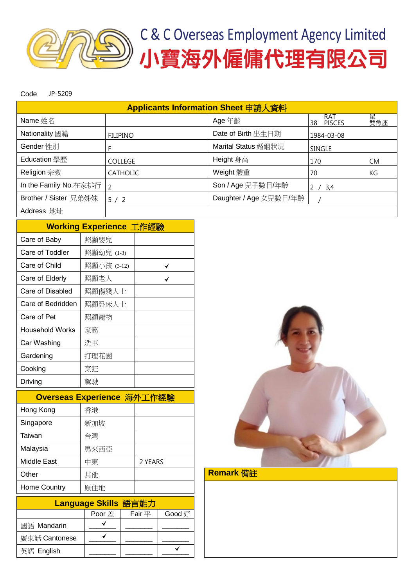

Code JP-5209

| Applicants Information Sheet 申請人資料 |                 |                        |                            |          |  |  |  |
|------------------------------------|-----------------|------------------------|----------------------------|----------|--|--|--|
| Name 姓名                            |                 | Age 年齡                 | RAT<br><b>PISCES</b><br>38 | 鼠<br>雙魚座 |  |  |  |
| Nationality 國籍                     | <b>FILIPINO</b> | Date of Birth 出生日期     | 1984-03-08                 |          |  |  |  |
| Gender 性別                          |                 | Marital Status 婚姻狀況    | SINGLE                     |          |  |  |  |
| Education 學歷                       | <b>COLLEGE</b>  | Height 身高              | 170                        | CM.      |  |  |  |
| Religion 宗教                        | <b>CATHOLIC</b> | Weight 體重              | 70                         | KG       |  |  |  |
| In the Family No.在家排行              | $\overline{2}$  | Son / Age 兒子數目/年齡      | -3,4                       |          |  |  |  |
| Brother / Sister 兄弟姊妹              | 5/2             | Daughter / Age 女兒數目/年齡 |                            |          |  |  |  |
| Address 地址                         |                 |                        |                            |          |  |  |  |

|                   | Working Experience 工作經驗 |  |  |  |  |  |  |
|-------------------|-------------------------|--|--|--|--|--|--|
| Care of Baby      | 照顧嬰兒                    |  |  |  |  |  |  |
| Care of Toddler   | 照顧幼兒 (1-3)              |  |  |  |  |  |  |
| Care of Child     | 照顧小孩 (3-12)             |  |  |  |  |  |  |
| Care of Elderly   | 照顧老人                    |  |  |  |  |  |  |
| Care of Disabled  | 照顧傷殘人士                  |  |  |  |  |  |  |
| Care of Bedridden | 照顧卧床人士                  |  |  |  |  |  |  |
| Care of Pet       | 照顧寵物                    |  |  |  |  |  |  |
| Household Works   | 家務                      |  |  |  |  |  |  |
| Car Washing       | 洗車                      |  |  |  |  |  |  |
| Gardening         | 打理花園                    |  |  |  |  |  |  |
| Cooking           | 烹飪                      |  |  |  |  |  |  |
| Driving           | 駕駛                      |  |  |  |  |  |  |

| Overseas Experience 海外工作經驗 |      |         |  |  |  |  |
|----------------------------|------|---------|--|--|--|--|
| Hong Kong                  | 香港   |         |  |  |  |  |
| Singapore                  | 新加坡  |         |  |  |  |  |
| Taiwan                     | 台灣   |         |  |  |  |  |
| Malaysia                   | 馬來西亞 |         |  |  |  |  |
| Middle East                | 中東   | 2 YEARS |  |  |  |  |
| Other                      | 其他   |         |  |  |  |  |
| Home Country               | 原住地  |         |  |  |  |  |

| Language Skills 語言能力 |               |             |        |  |  |  |
|----------------------|---------------|-------------|--------|--|--|--|
|                      | <b>Poor</b> 差 | Fair $\Psi$ | Good 好 |  |  |  |
| 國語 Mandarin          |               |             |        |  |  |  |
| 廣東話 Cantonese        |               |             |        |  |  |  |
| 英語 English           |               |             |        |  |  |  |



## Remark 備註